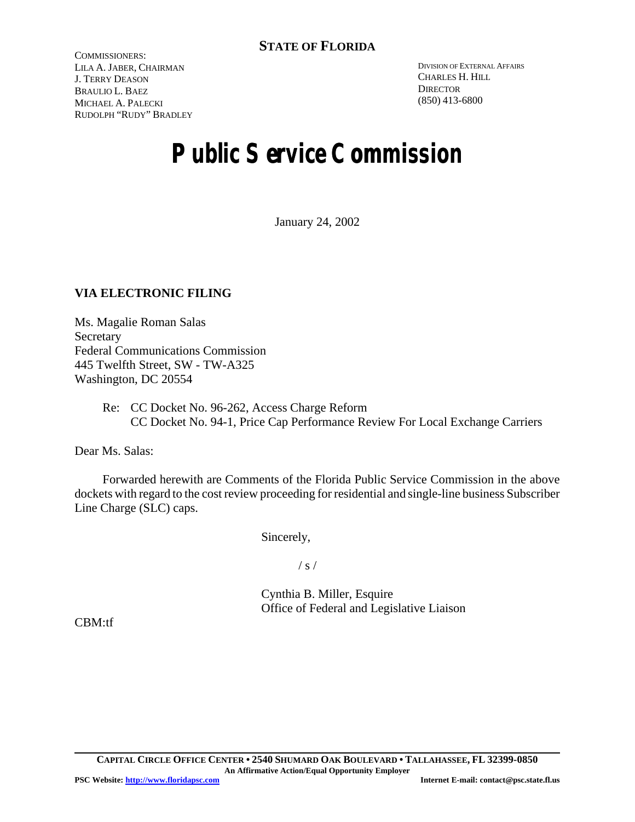COMMISSIONERS: LILA A. JABER, CHAIRMAN J. TERRY DEASON BRAULIO L. BAEZ MICHAEL A. PALECKI RUDOLPH "RUDY" BRADLEY

DIVISION OF EXTERNAL AFFAIRS CHARLES H. HILL **DIRECTOR** (850) 413-6800

# **Public Service Commission**

January 24, 2002

## **VIA ELECTRONIC FILING**

Ms. Magalie Roman Salas Secretary Federal Communications Commission 445 Twelfth Street, SW - TW-A325 Washington, DC 20554

> Re: CC Docket No. 96-262, Access Charge Reform CC Docket No. 94-1, Price Cap Performance Review For Local Exchange Carriers

Dear Ms. Salas:

Forwarded herewith are Comments of the Florida Public Service Commission in the above dockets with regard to the cost review proceeding for residential and single-line business Subscriber Line Charge (SLC) caps.

Sincerely,

 $/ s /$ 

Cynthia B. Miller, Esquire Office of Federal and Legislative Liaison

CBM:tf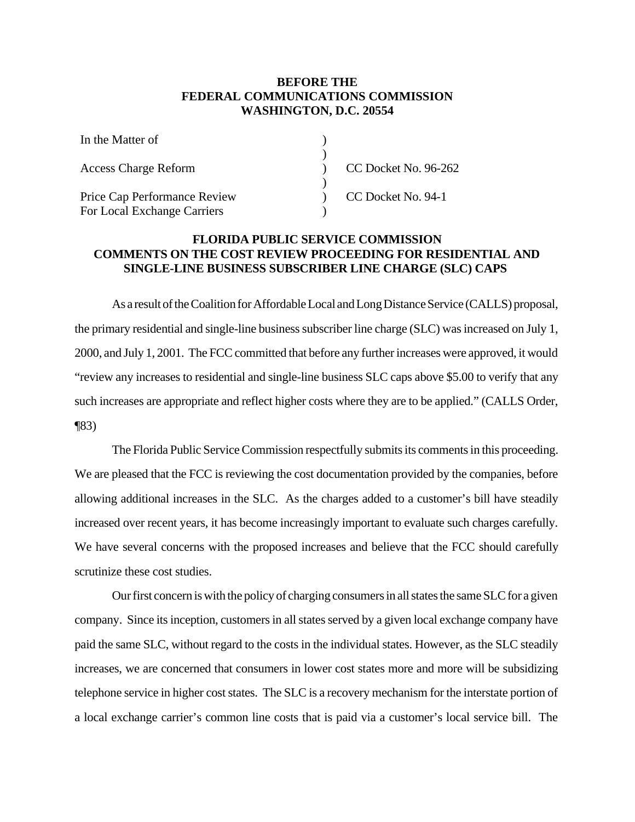### **BEFORE THE FEDERAL COMMUNICATIONS COMMISSION WASHINGTON, D.C. 20554**

| In the Matter of                                            |                      |
|-------------------------------------------------------------|----------------------|
| <b>Access Charge Reform</b>                                 | CC Docket No. 96-262 |
| Price Cap Performance Review<br>For Local Exchange Carriers | CC Docket No. 94-1   |

## **FLORIDA PUBLIC SERVICE COMMISSION COMMENTS ON THE COST REVIEW PROCEEDING FOR RESIDENTIAL AND SINGLE-LINE BUSINESS SUBSCRIBER LINE CHARGE (SLC) CAPS**

As a result of the Coalition for Affordable Local and Long Distance Service (CALLS) proposal, the primary residential and single-line business subscriber line charge (SLC) was increased on July 1, 2000, and July 1, 2001. The FCC committed that before any further increases were approved, it would "review any increases to residential and single-line business SLC caps above \$5.00 to verify that any such increases are appropriate and reflect higher costs where they are to be applied." (CALLS Order, ¶83)

The Florida Public Service Commission respectfully submits its comments in this proceeding. We are pleased that the FCC is reviewing the cost documentation provided by the companies, before allowing additional increases in the SLC. As the charges added to a customer's bill have steadily increased over recent years, it has become increasingly important to evaluate such charges carefully. We have several concerns with the proposed increases and believe that the FCC should carefully scrutinize these cost studies.

Our first concern is with the policy of charging consumers in all states the same SLC for a given company. Since its inception, customers in all states served by a given local exchange company have paid the same SLC, without regard to the costs in the individual states. However, as the SLC steadily increases, we are concerned that consumers in lower cost states more and more will be subsidizing telephone service in higher cost states. The SLC is a recovery mechanism for the interstate portion of a local exchange carrier's common line costs that is paid via a customer's local service bill. The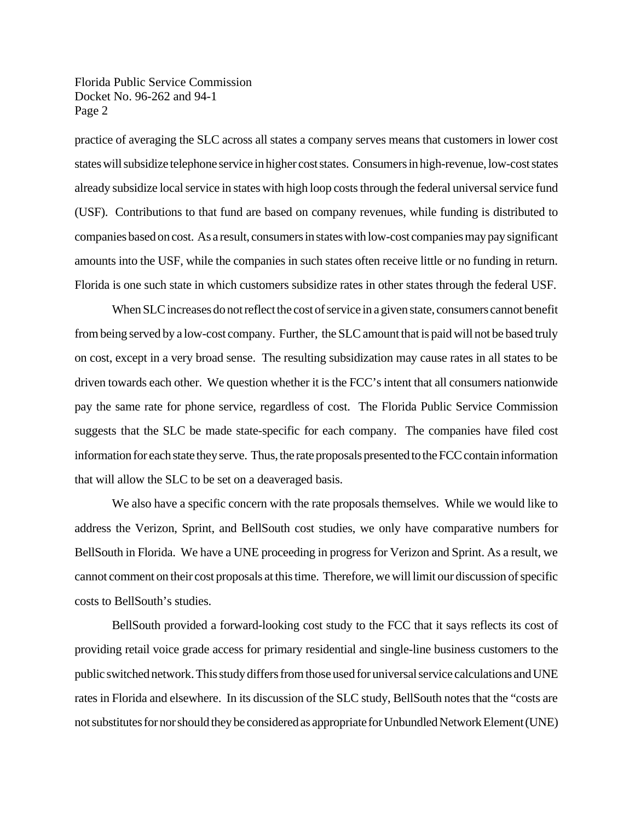Florida Public Service Commission Docket No. 96-262 and 94-1 Page 2

practice of averaging the SLC across all states a company serves means that customers in lower cost states will subsidize telephone service in higher cost states. Consumers in high-revenue, low-cost states already subsidize local service in states with high loop costs through the federal universal service fund (USF). Contributions to that fund are based on company revenues, while funding is distributed to companies based on cost. As a result, consumers in states with low-cost companies may pay significant amounts into the USF, while the companies in such states often receive little or no funding in return. Florida is one such state in which customers subsidize rates in other states through the federal USF.

When SLC increases do not reflect the cost of service in a given state, consumers cannot benefit from being served by a low-cost company. Further, the SLC amount that is paid will not be based truly on cost, except in a very broad sense. The resulting subsidization may cause rates in all states to be driven towards each other. We question whether it is the FCC's intent that all consumers nationwide pay the same rate for phone service, regardless of cost. The Florida Public Service Commission suggests that the SLC be made state-specific for each company. The companies have filed cost information for each state they serve. Thus, the rate proposals presented to the FCC contain information that will allow the SLC to be set on a deaveraged basis.

We also have a specific concern with the rate proposals themselves. While we would like to address the Verizon, Sprint, and BellSouth cost studies, we only have comparative numbers for BellSouth in Florida. We have a UNE proceeding in progress for Verizon and Sprint. As a result, we cannot comment on their cost proposals at this time. Therefore, we will limit our discussion of specific costs to BellSouth's studies.

BellSouth provided a forward-looking cost study to the FCC that it says reflects its cost of providing retail voice grade access for primary residential and single-line business customers to the public switched network. This study differs from those used for universal service calculations and UNE rates in Florida and elsewhere. In its discussion of the SLC study, BellSouth notes that the "costs are not substitutes for nor should they be considered as appropriate for Unbundled Network Element (UNE)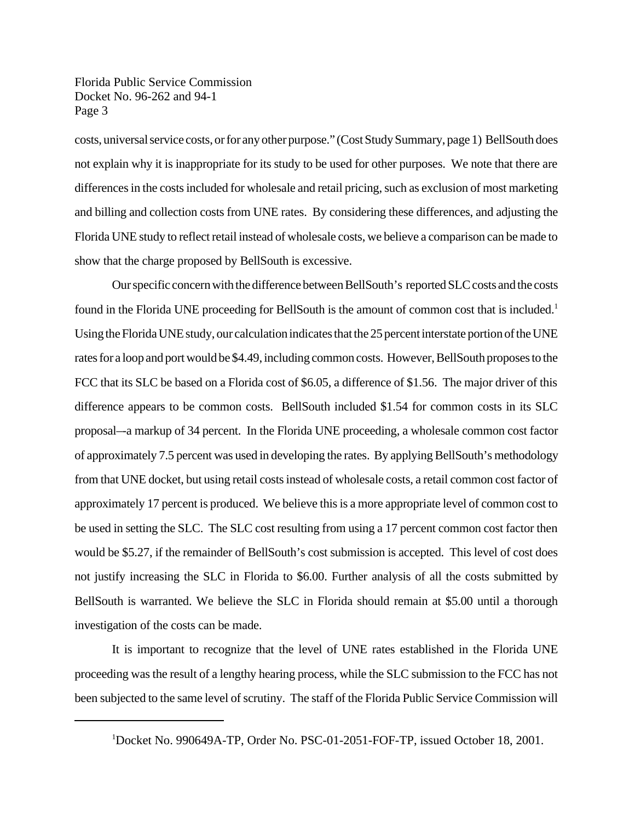Florida Public Service Commission Docket No. 96-262 and 94-1 Page 3

costs, universal service costs, or for any other purpose." (Cost Study Summary, page 1) BellSouth does not explain why it is inappropriate for its study to be used for other purposes. We note that there are differences in the costs included for wholesale and retail pricing, such as exclusion of most marketing and billing and collection costs from UNE rates. By considering these differences, and adjusting the Florida UNE study to reflect retail instead of wholesale costs, we believe a comparison can be made to show that the charge proposed by BellSouth is excessive.

Our specific concern with the difference between BellSouth's reported SLC costs and the costs found in the Florida UNE proceeding for BellSouth is the amount of common cost that is included.<sup>1</sup> Using the Florida UNE study, our calculation indicates that the 25 percent interstate portion of the UNE rates for a loop and port would be \$4.49, including common costs. However, BellSouth proposes to the FCC that its SLC be based on a Florida cost of \$6.05, a difference of \$1.56. The major driver of this difference appears to be common costs. BellSouth included \$1.54 for common costs in its SLC proposal–-a markup of 34 percent. In the Florida UNE proceeding, a wholesale common cost factor of approximately 7.5 percent was used in developing the rates. By applying BellSouth's methodology from that UNE docket, but using retail costs instead of wholesale costs, a retail common cost factor of approximately 17 percent is produced. We believe this is a more appropriate level of common cost to be used in setting the SLC. The SLC cost resulting from using a 17 percent common cost factor then would be \$5.27, if the remainder of BellSouth's cost submission is accepted. This level of cost does not justify increasing the SLC in Florida to \$6.00. Further analysis of all the costs submitted by BellSouth is warranted. We believe the SLC in Florida should remain at \$5.00 until a thorough investigation of the costs can be made.

It is important to recognize that the level of UNE rates established in the Florida UNE proceeding was the result of a lengthy hearing process, while the SLC submission to the FCC has not been subjected to the same level of scrutiny. The staff of the Florida Public Service Commission will

<sup>1</sup>Docket No. 990649A-TP, Order No. PSC-01-2051-FOF-TP, issued October 18, 2001.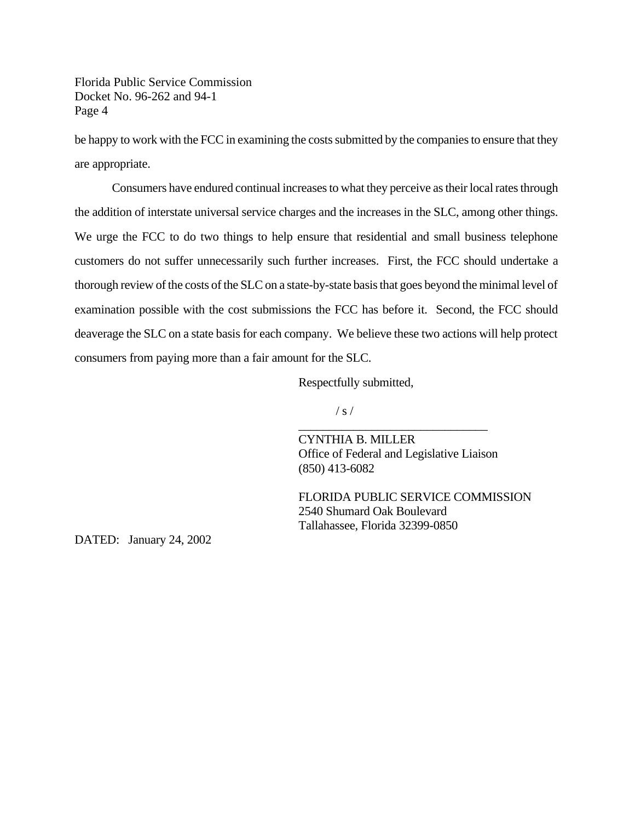Florida Public Service Commission Docket No. 96-262 and 94-1 Page 4

be happy to work with the FCC in examining the costs submitted by the companies to ensure that they are appropriate.

Consumers have endured continual increases to what they perceive as their local rates through the addition of interstate universal service charges and the increases in the SLC, among other things. We urge the FCC to do two things to help ensure that residential and small business telephone customers do not suffer unnecessarily such further increases. First, the FCC should undertake a thorough review of the costs of the SLC on a state-by-state basis that goes beyond the minimal level of examination possible with the cost submissions the FCC has before it. Second, the FCC should deaverage the SLC on a state basis for each company. We believe these two actions will help protect consumers from paying more than a fair amount for the SLC.

Respectfully submitted,

 $/ s /$ 

CYNTHIA B. MILLER Office of Federal and Legislative Liaison (850) 413-6082

\_\_\_\_\_\_\_\_\_\_\_\_\_\_\_\_\_\_\_\_\_\_\_\_\_\_\_\_\_\_\_

FLORIDA PUBLIC SERVICE COMMISSION 2540 Shumard Oak Boulevard Tallahassee, Florida 32399-0850

DATED: January 24, 2002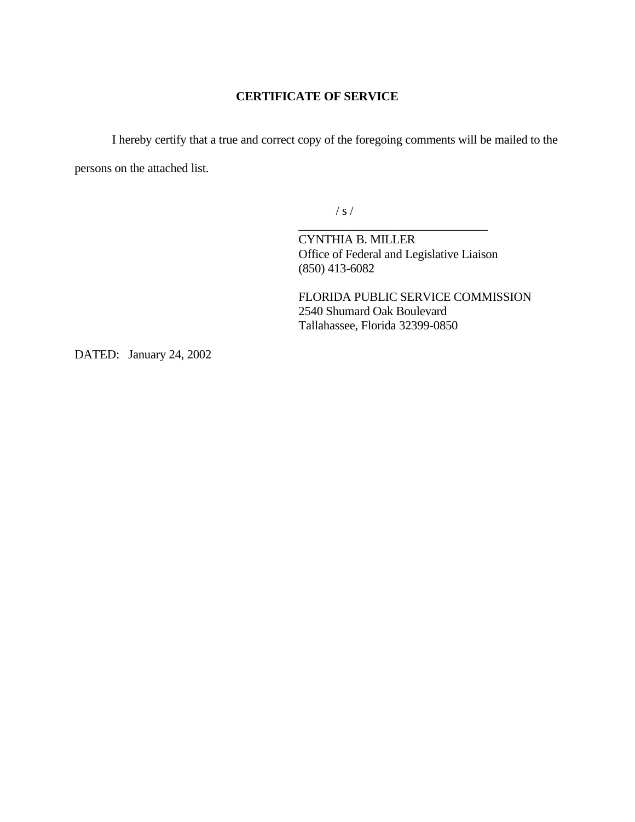#### **CERTIFICATE OF SERVICE**

I hereby certify that a true and correct copy of the foregoing comments will be mailed to the persons on the attached list.

 $/ s /$ 

CYNTHIA B. MILLER Office of Federal and Legislative Liaison (850) 413-6082

\_\_\_\_\_\_\_\_\_\_\_\_\_\_\_\_\_\_\_\_\_\_\_\_\_\_\_\_\_\_\_

FLORIDA PUBLIC SERVICE COMMISSION 2540 Shumard Oak Boulevard Tallahassee, Florida 32399-0850

DATED: January 24, 2002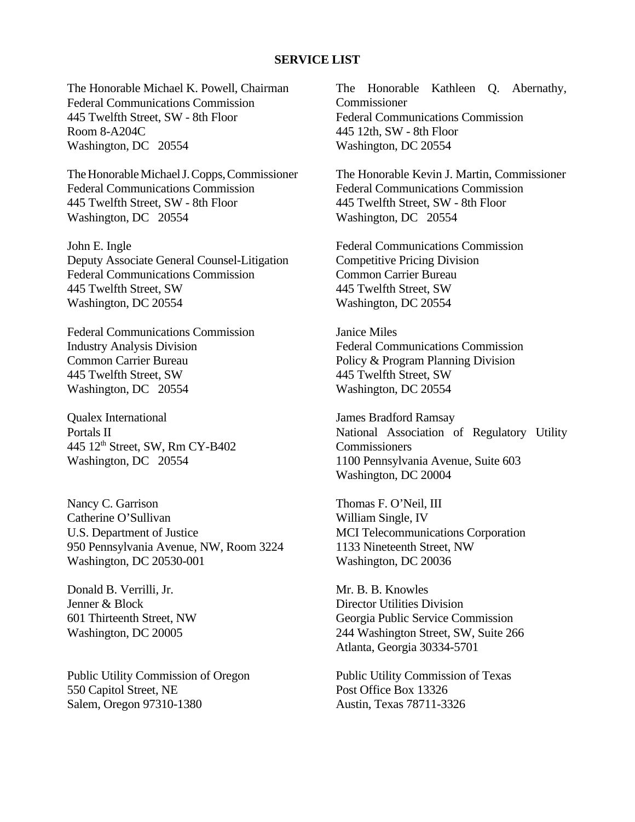#### **SERVICE LIST**

The Honorable Michael K. Powell, Chairman Federal Communications Commission 445 Twelfth Street, SW - 8th Floor Room 8-A204C Washington, DC 20554

The Honorable Michael J. Copps, Commissioner Federal Communications Commission 445 Twelfth Street, SW - 8th Floor Washington, DC 20554

John E. Ingle Deputy Associate General Counsel-Litigation Federal Communications Commission 445 Twelfth Street, SW Washington, DC 20554

Federal Communications Commission Industry Analysis Division Common Carrier Bureau 445 Twelfth Street, SW Washington, DC 20554

Qualex International Portals II 445 12th Street, SW, Rm CY-B402 Washington, DC 20554

Nancy C. Garrison Catherine O'Sullivan U.S. Department of Justice 950 Pennsylvania Avenue, NW, Room 3224 Washington, DC 20530-001

Donald B. Verrilli, Jr. Jenner & Block 601 Thirteenth Street, NW Washington, DC 20005

Public Utility Commission of Oregon 550 Capitol Street, NE Salem, Oregon 97310-1380

The Honorable Kathleen Q. Abernathy, Commissioner Federal Communications Commission 445 12th, SW - 8th Floor Washington, DC 20554

The Honorable Kevin J. Martin, Commissioner Federal Communications Commission 445 Twelfth Street, SW - 8th Floor Washington, DC 20554

Federal Communications Commission Competitive Pricing Division Common Carrier Bureau 445 Twelfth Street, SW Washington, DC 20554

Janice Miles Federal Communications Commission Policy & Program Planning Division 445 Twelfth Street, SW Washington, DC 20554

James Bradford Ramsay National Association of Regulatory Utility **Commissioners** 1100 Pennsylvania Avenue, Suite 603 Washington, DC 20004

Thomas F. O'Neil, III William Single, IV MCI Telecommunications Corporation 1133 Nineteenth Street, NW Washington, DC 20036

Mr. B. B. Knowles Director Utilities Division Georgia Public Service Commission 244 Washington Street, SW, Suite 266 Atlanta, Georgia 30334-5701

Public Utility Commission of Texas Post Office Box 13326 Austin, Texas 78711-3326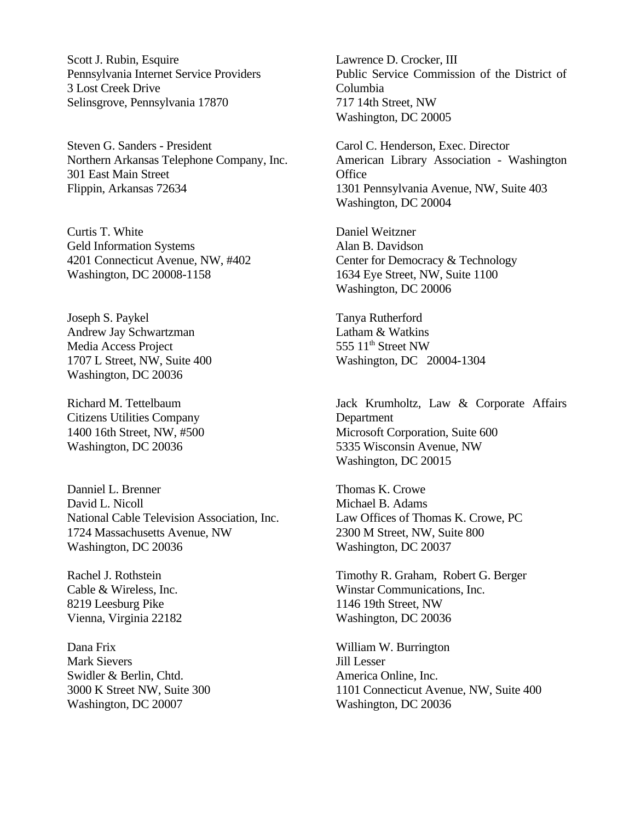Scott J. Rubin, Esquire Pennsylvania Internet Service Providers 3 Lost Creek Drive Selinsgrove, Pennsylvania 17870

Steven G. Sanders - President Northern Arkansas Telephone Company, Inc. 301 East Main Street Flippin, Arkansas 72634

Curtis T. White Geld Information Systems 4201 Connecticut Avenue, NW, #402 Washington, DC 20008-1158

Joseph S. Paykel Andrew Jay Schwartzman Media Access Project 1707 L Street, NW, Suite 400 Washington, DC 20036

Richard M. Tettelbaum Citizens Utilities Company 1400 16th Street, NW, #500 Washington, DC 20036

Danniel L. Brenner David L. Nicoll National Cable Television Association, Inc. 1724 Massachusetts Avenue, NW Washington, DC 20036

Rachel J. Rothstein Cable & Wireless, Inc. 8219 Leesburg Pike Vienna, Virginia 22182

Dana Frix Mark Sievers Swidler & Berlin, Chtd. 3000 K Street NW, Suite 300 Washington, DC 20007

Lawrence D. Crocker, III Public Service Commission of the District of Columbia 717 14th Street, NW Washington, DC 20005

Carol C. Henderson, Exec. Director American Library Association - Washington **Office** 1301 Pennsylvania Avenue, NW, Suite 403 Washington, DC 20004

Daniel Weitzner Alan B. Davidson Center for Democracy & Technology 1634 Eye Street, NW, Suite 1100 Washington, DC 20006

Tanya Rutherford Latham & Watkins 555  $11<sup>th</sup>$  Street NW Washington, DC 20004-1304

Jack Krumholtz, Law & Corporate Affairs Department Microsoft Corporation, Suite 600 5335 Wisconsin Avenue, NW Washington, DC 20015

Thomas K. Crowe Michael B. Adams Law Offices of Thomas K. Crowe, PC 2300 M Street, NW, Suite 800 Washington, DC 20037

Timothy R. Graham, Robert G. Berger Winstar Communications, Inc. 1146 19th Street, NW Washington, DC 20036

William W. Burrington Jill Lesser America Online, Inc. 1101 Connecticut Avenue, NW, Suite 400 Washington, DC 20036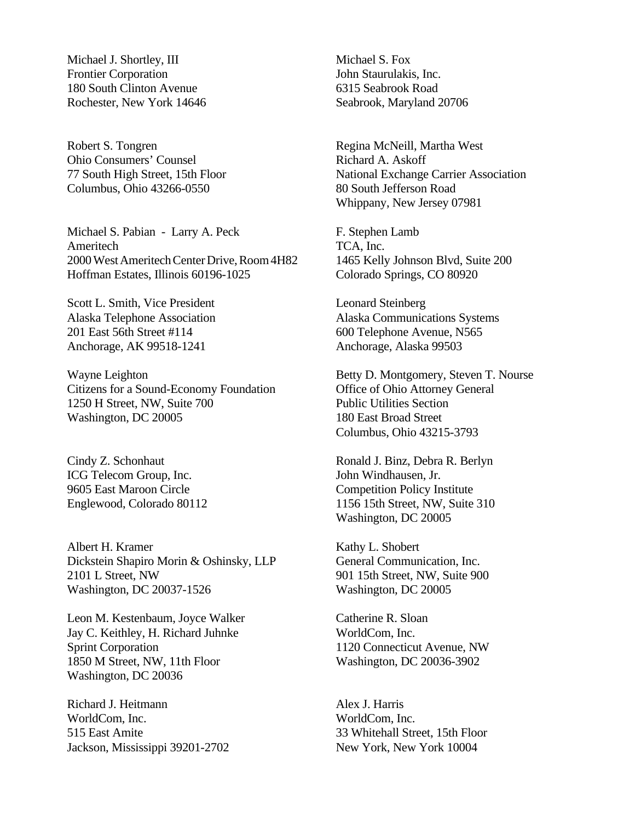Michael J. Shortley, III Frontier Corporation 180 South Clinton Avenue Rochester, New York 14646

Robert S. Tongren Ohio Consumers' Counsel 77 South High Street, 15th Floor Columbus, Ohio 43266-0550

Michael S. Pabian - Larry A. Peck Ameritech 2000 West Ameritech Center Drive, Room 4H82 Hoffman Estates, Illinois 60196-1025

Scott L. Smith, Vice President Alaska Telephone Association 201 East 56th Street #114 Anchorage, AK 99518-1241

Wayne Leighton Citizens for a Sound-Economy Foundation 1250 H Street, NW, Suite 700 Washington, DC 20005

Cindy Z. Schonhaut ICG Telecom Group, Inc. 9605 East Maroon Circle Englewood, Colorado 80112

Albert H. Kramer Dickstein Shapiro Morin & Oshinsky, LLP 2101 L Street, NW Washington, DC 20037-1526

Leon M. Kestenbaum, Joyce Walker Jay C. Keithley, H. Richard Juhnke Sprint Corporation 1850 M Street, NW, 11th Floor Washington, DC 20036

Richard J. Heitmann WorldCom, Inc. 515 East Amite Jackson, Mississippi 39201-2702 Michael S. Fox John Staurulakis, Inc. 6315 Seabrook Road Seabrook, Maryland 20706

Regina McNeill, Martha West Richard A. Askoff National Exchange Carrier Association 80 South Jefferson Road Whippany, New Jersey 07981

F. Stephen Lamb TCA, Inc. 1465 Kelly Johnson Blvd, Suite 200 Colorado Springs, CO 80920

Leonard Steinberg Alaska Communications Systems 600 Telephone Avenue, N565 Anchorage, Alaska 99503

Betty D. Montgomery, Steven T. Nourse Office of Ohio Attorney General Public Utilities Section 180 East Broad Street Columbus, Ohio 43215-3793

Ronald J. Binz, Debra R. Berlyn John Windhausen, Jr. Competition Policy Institute 1156 15th Street, NW, Suite 310 Washington, DC 20005

Kathy L. Shobert General Communication, Inc. 901 15th Street, NW, Suite 900 Washington, DC 20005

Catherine R. Sloan WorldCom, Inc. 1120 Connecticut Avenue, NW Washington, DC 20036-3902

Alex J. Harris WorldCom, Inc. 33 Whitehall Street, 15th Floor New York, New York 10004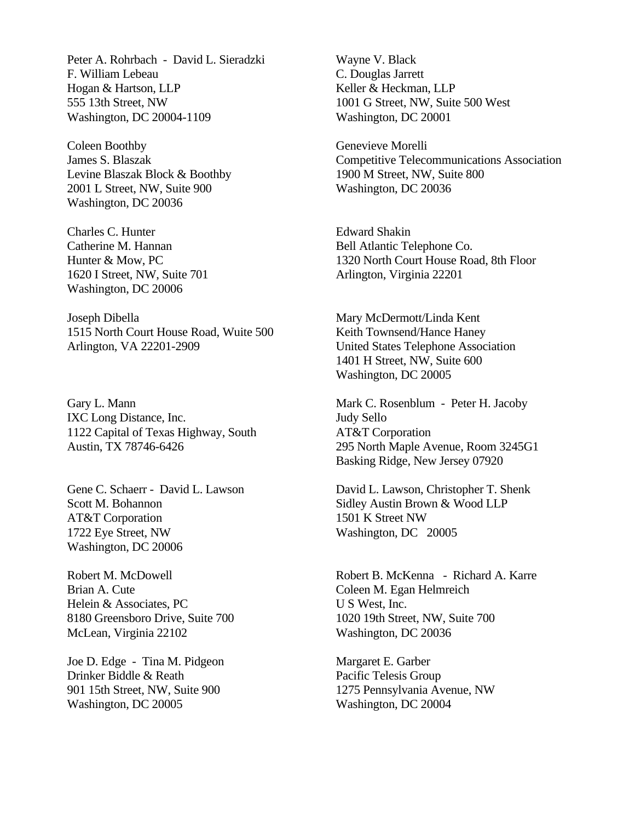Peter A. Rohrbach - David L. Sieradzki F. William Lebeau Hogan & Hartson, LLP 555 13th Street, NW Washington, DC 20004-1109

Coleen Boothby James S. Blaszak Levine Blaszak Block & Boothby 2001 L Street, NW, Suite 900 Washington, DC 20036

Charles C. Hunter Catherine M. Hannan Hunter & Mow, PC 1620 I Street, NW, Suite 701 Washington, DC 20006

Joseph Dibella 1515 North Court House Road, Wuite 500 Arlington, VA 22201-2909

Gary L. Mann IXC Long Distance, Inc. 1122 Capital of Texas Highway, South Austin, TX 78746-6426

Gene C. Schaerr - David L. Lawson Scott M. Bohannon AT&T Corporation 1722 Eye Street, NW Washington, DC 20006

Robert M. McDowell Brian A. Cute Helein & Associates, PC 8180 Greensboro Drive, Suite 700 McLean, Virginia 22102

Joe D. Edge - Tina M. Pidgeon Drinker Biddle & Reath 901 15th Street, NW, Suite 900 Washington, DC 20005

Wayne V. Black C. Douglas Jarrett Keller & Heckman, LLP 1001 G Street, NW, Suite 500 West Washington, DC 20001

Genevieve Morelli Competitive Telecommunications Association 1900 M Street, NW, Suite 800 Washington, DC 20036

Edward Shakin Bell Atlantic Telephone Co. 1320 North Court House Road, 8th Floor Arlington, Virginia 22201

Mary McDermott/Linda Kent Keith Townsend/Hance Haney United States Telephone Association 1401 H Street, NW, Suite 600 Washington, DC 20005

Mark C. Rosenblum - Peter H. Jacoby Judy Sello AT&T Corporation 295 North Maple Avenue, Room 3245G1 Basking Ridge, New Jersey 07920

David L. Lawson, Christopher T. Shenk Sidley Austin Brown & Wood LLP 1501 K Street NW Washington, DC 20005

Robert B. McKenna - Richard A. Karre Coleen M. Egan Helmreich U S West, Inc. 1020 19th Street, NW, Suite 700 Washington, DC 20036

Margaret E. Garber Pacific Telesis Group 1275 Pennsylvania Avenue, NW Washington, DC 20004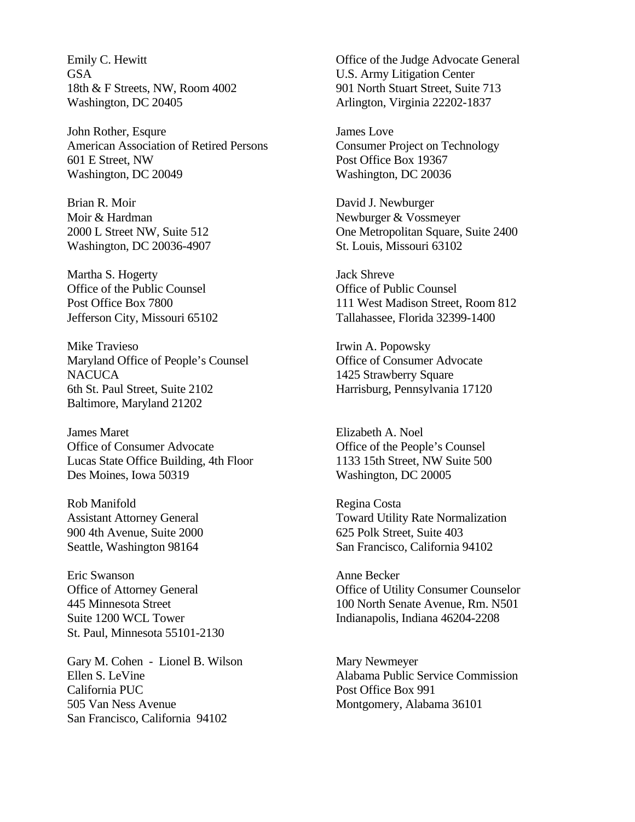Emily C. Hewitt GSA 18th & F Streets, NW, Room 4002 Washington, DC 20405

John Rother, Esqure American Association of Retired Persons 601 E Street, NW Washington, DC 20049

Brian R. Moir Moir & Hardman 2000 L Street NW, Suite 512 Washington, DC 20036-4907

Martha S. Hogerty Office of the Public Counsel Post Office Box 7800 Jefferson City, Missouri 65102

Mike Travieso Maryland Office of People's Counsel **NACUCA** 6th St. Paul Street, Suite 2102 Baltimore, Maryland 21202

James Maret Office of Consumer Advocate Lucas State Office Building, 4th Floor Des Moines, Iowa 50319

Rob Manifold Assistant Attorney General 900 4th Avenue, Suite 2000 Seattle, Washington 98164

Eric Swanson Office of Attorney General 445 Minnesota Street Suite 1200 WCL Tower St. Paul, Minnesota 55101-2130

Gary M. Cohen - Lionel B. Wilson Ellen S. LeVine California PUC 505 Van Ness Avenue San Francisco, California 94102

Office of the Judge Advocate General U.S. Army Litigation Center 901 North Stuart Street, Suite 713 Arlington, Virginia 22202-1837

James Love Consumer Project on Technology Post Office Box 19367 Washington, DC 20036

David J. Newburger Newburger & Vossmeyer One Metropolitan Square, Suite 2400 St. Louis, Missouri 63102

Jack Shreve Office of Public Counsel 111 West Madison Street, Room 812 Tallahassee, Florida 32399-1400

Irwin A. Popowsky Office of Consumer Advocate 1425 Strawberry Square Harrisburg, Pennsylvania 17120

Elizabeth A. Noel Office of the People's Counsel 1133 15th Street, NW Suite 500 Washington, DC 20005

Regina Costa Toward Utility Rate Normalization 625 Polk Street, Suite 403 San Francisco, California 94102

Anne Becker Office of Utility Consumer Counselor 100 North Senate Avenue, Rm. N501 Indianapolis, Indiana 46204-2208

Mary Newmeyer Alabama Public Service Commission Post Office Box 991 Montgomery, Alabama 36101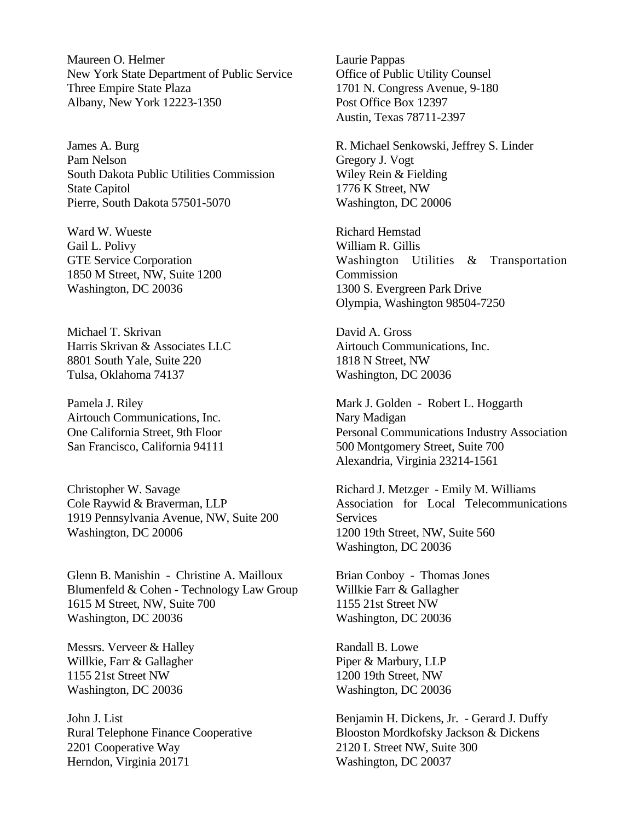Maureen O. Helmer New York State Department of Public Service Three Empire State Plaza Albany, New York 12223-1350

James A. Burg Pam Nelson South Dakota Public Utilities Commission State Capitol Pierre, South Dakota 57501-5070

Ward W. Wueste Gail L. Polivy GTE Service Corporation 1850 M Street, NW, Suite 1200 Washington, DC 20036

Michael T. Skrivan Harris Skrivan & Associates LLC 8801 South Yale, Suite 220 Tulsa, Oklahoma 74137

Pamela J. Riley Airtouch Communications, Inc. One California Street, 9th Floor San Francisco, California 94111

Christopher W. Savage Cole Raywid & Braverman, LLP 1919 Pennsylvania Avenue, NW, Suite 200 Washington, DC 20006

Glenn B. Manishin - Christine A. Mailloux Blumenfeld & Cohen - Technology Law Group 1615 M Street, NW, Suite 700 Washington, DC 20036

Messrs. Verveer & Halley Willkie, Farr & Gallagher 1155 21st Street NW Washington, DC 20036

John J. List Rural Telephone Finance Cooperative 2201 Cooperative Way Herndon, Virginia 20171

Laurie Pappas Office of Public Utility Counsel 1701 N. Congress Avenue, 9-180 Post Office Box 12397 Austin, Texas 78711-2397

R. Michael Senkowski, Jeffrey S. Linder Gregory J. Vogt Wiley Rein & Fielding 1776 K Street, NW Washington, DC 20006

Richard Hemstad William R. Gillis Washington Utilities & Transportation Commission 1300 S. Evergreen Park Drive Olympia, Washington 98504-7250

David A. Gross Airtouch Communications, Inc. 1818 N Street, NW Washington, DC 20036

Mark J. Golden - Robert L. Hoggarth Nary Madigan Personal Communications Industry Association 500 Montgomery Street, Suite 700 Alexandria, Virginia 23214-1561

Richard J. Metzger - Emily M. Williams Association for Local Telecommunications Services 1200 19th Street, NW, Suite 560 Washington, DC 20036

Brian Conboy - Thomas Jones Willkie Farr & Gallagher 1155 21st Street NW Washington, DC 20036

Randall B. Lowe Piper & Marbury, LLP 1200 19th Street, NW Washington, DC 20036

Benjamin H. Dickens, Jr. - Gerard J. Duffy Blooston Mordkofsky Jackson & Dickens 2120 L Street NW, Suite 300 Washington, DC 20037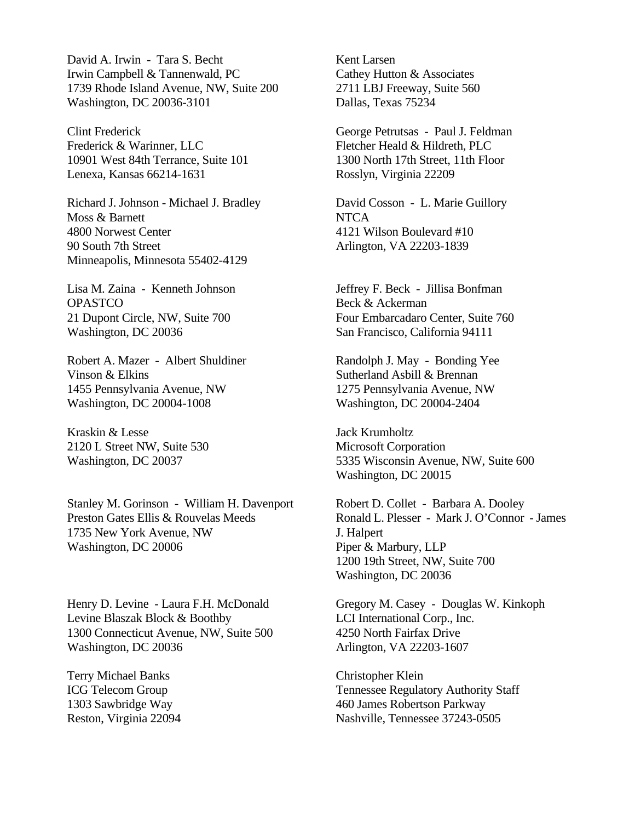David A. Irwin - Tara S. Becht Irwin Campbell & Tannenwald, PC 1739 Rhode Island Avenue, NW, Suite 200 Washington, DC 20036-3101

Clint Frederick Frederick & Warinner, LLC 10901 West 84th Terrance, Suite 101 Lenexa, Kansas 66214-1631

Richard J. Johnson - Michael J. Bradley Moss & Barnett 4800 Norwest Center 90 South 7th Street Minneapolis, Minnesota 55402-4129

Lisa M. Zaina - Kenneth Johnson **OPASTCO** 21 Dupont Circle, NW, Suite 700 Washington, DC 20036

Robert A. Mazer - Albert Shuldiner Vinson & Elkins 1455 Pennsylvania Avenue, NW Washington, DC 20004-1008

Kraskin & Lesse 2120 L Street NW, Suite 530 Washington, DC 20037

Stanley M. Gorinson - William H. Davenport Preston Gates Ellis & Rouvelas Meeds 1735 New York Avenue, NW Washington, DC 20006

Henry D. Levine - Laura F.H. McDonald Levine Blaszak Block & Boothby 1300 Connecticut Avenue, NW, Suite 500 Washington, DC 20036

Terry Michael Banks ICG Telecom Group 1303 Sawbridge Way Reston, Virginia 22094

Kent Larsen Cathey Hutton & Associates 2711 LBJ Freeway, Suite 560 Dallas, Texas 75234

George Petrutsas - Paul J. Feldman Fletcher Heald & Hildreth, PLC 1300 North 17th Street, 11th Floor Rosslyn, Virginia 22209

David Cosson - L. Marie Guillory **NTCA** 4121 Wilson Boulevard #10 Arlington, VA 22203-1839

Jeffrey F. Beck - Jillisa Bonfman Beck & Ackerman Four Embarcadaro Center, Suite 760 San Francisco, California 94111

Randolph J. May - Bonding Yee Sutherland Asbill & Brennan 1275 Pennsylvania Avenue, NW Washington, DC 20004-2404

Jack Krumholtz Microsoft Corporation 5335 Wisconsin Avenue, NW, Suite 600 Washington, DC 20015

Robert D. Collet - Barbara A. Dooley Ronald L. Plesser - Mark J. O'Connor - James J. Halpert Piper & Marbury, LLP 1200 19th Street, NW, Suite 700 Washington, DC 20036

Gregory M. Casey - Douglas W. Kinkoph LCI International Corp., Inc. 4250 North Fairfax Drive Arlington, VA 22203-1607

Christopher Klein Tennessee Regulatory Authority Staff 460 James Robertson Parkway Nashville, Tennessee 37243-0505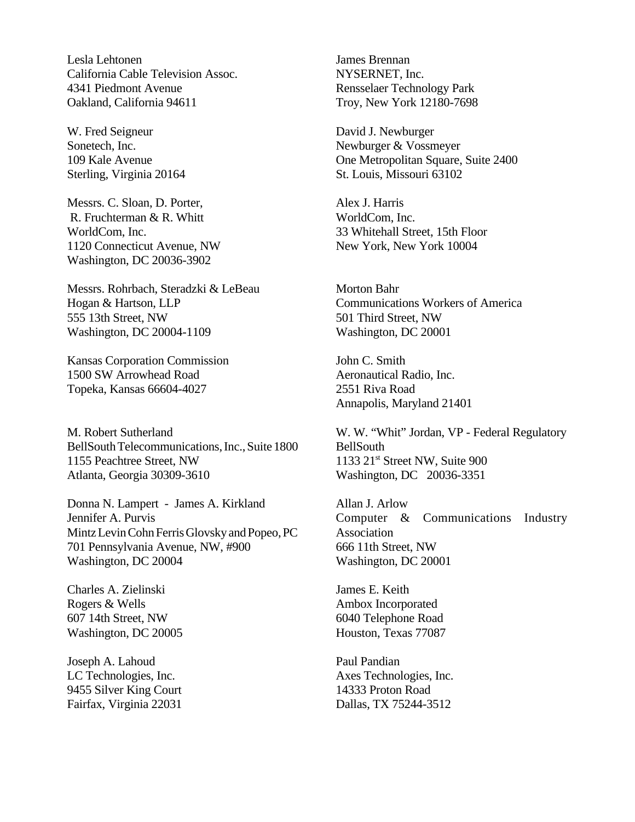Lesla Lehtonen California Cable Television Assoc. 4341 Piedmont Avenue Oakland, California 94611

W. Fred Seigneur Sonetech, Inc. 109 Kale Avenue Sterling, Virginia 20164

Messrs. C. Sloan, D. Porter, R. Fruchterman & R. Whitt WorldCom, Inc. 1120 Connecticut Avenue, NW Washington, DC 20036-3902

Messrs. Rohrbach, Steradzki & LeBeau Hogan & Hartson, LLP 555 13th Street, NW Washington, DC 20004-1109

Kansas Corporation Commission 1500 SW Arrowhead Road Topeka, Kansas 66604-4027

M. Robert Sutherland BellSouth Telecommunications, Inc., Suite 1800 1155 Peachtree Street, NW Atlanta, Georgia 30309-3610

Donna N. Lampert - James A. Kirkland Jennifer A. Purvis Mintz Levin Cohn Ferris Glovsky and Popeo, PC 701 Pennsylvania Avenue, NW, #900 Washington, DC 20004

Charles A. Zielinski Rogers & Wells 607 14th Street, NW Washington, DC 20005

Joseph A. Lahoud LC Technologies, Inc. 9455 Silver King Court Fairfax, Virginia 22031

James Brennan NYSERNET, Inc. Rensselaer Technology Park Troy, New York 12180-7698

David J. Newburger Newburger & Vossmeyer One Metropolitan Square, Suite 2400 St. Louis, Missouri 63102

Alex J. Harris WorldCom, Inc. 33 Whitehall Street, 15th Floor New York, New York 10004

Morton Bahr Communications Workers of America 501 Third Street, NW Washington, DC 20001

John C. Smith Aeronautical Radio, Inc. 2551 Riva Road Annapolis, Maryland 21401

W. W. "Whit" Jordan, VP - Federal Regulatory BellSouth 1133  $21<sup>st</sup>$  Street NW, Suite 900 Washington, DC 20036-3351

Allan J. Arlow Computer & Communications Industry Association 666 11th Street, NW Washington, DC 20001

James E. Keith Ambox Incorporated 6040 Telephone Road Houston, Texas 77087

Paul Pandian Axes Technologies, Inc. 14333 Proton Road Dallas, TX 75244-3512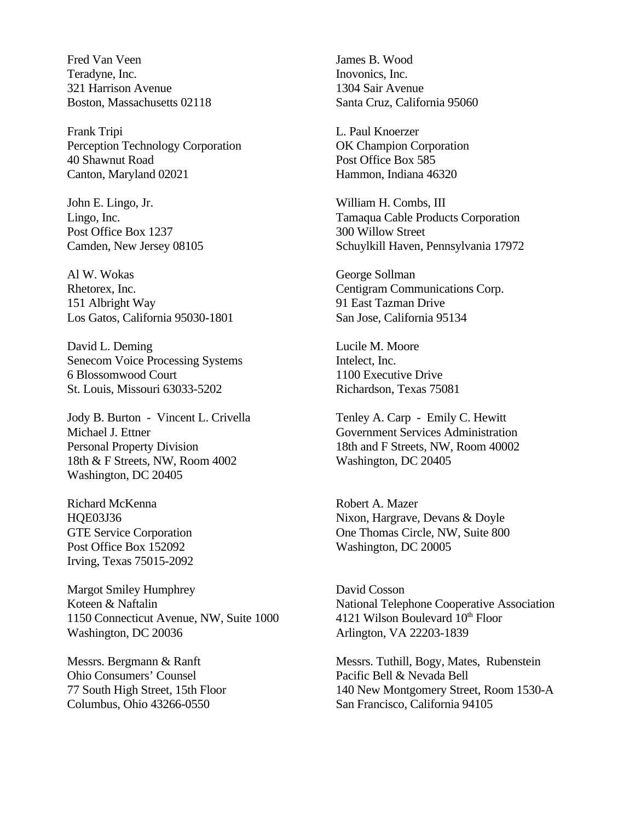Fred Van Veen Teradyne, Inc. 321 Harrison Avenue Boston, Massachusetts 02118

Frank Tripi Perception Technology Corporation 40 Shawnut Road Canton, Maryland 02021

John E. Lingo, Jr. Lingo, Inc. Post Office Box 1237 Camden, New Jersey 08105

Al W. Wokas Rhetorex, Inc. 151 Albright Way Los Gatos, California 95030-1801

David L. Deming Senecom Voice Processing Systems 6 Blossomwood Court St. Louis, Missouri 63033-5202

Jody B. Burton - Vincent L. Crivella Michael J. Ettner Personal Property Division 18th & F Streets, NW, Room 4002 Washington, DC 20405

Richard McKenna HQE03J36 GTE Service Corporation Post Office Box 152092 Irving, Texas 75015-2092

Margot Smiley Humphrey Koteen & Naftalin 1150 Connecticut Avenue, NW, Suite 1000 Washington, DC 20036

Messrs. Bergmann & Ranft Ohio Consumers' Counsel 77 South High Street, 15th Floor Columbus, Ohio 43266-0550

James B. Wood Inovonics, Inc. 1304 Sair Avenue Santa Cruz, California 95060

L. Paul Knoerzer OK Champion Corporation Post Office Box 585 Hammon, Indiana 46320

William H. Combs, III Tamaqua Cable Products Corporation 300 Willow Street Schuylkill Haven, Pennsylvania 17972

George Sollman Centigram Communications Corp. 91 East Tazman Drive San Jose, California 95134

Lucile M. Moore Intelect, Inc. 1100 Executive Drive Richardson, Texas 75081

Tenley A. Carp - Emily C. Hewitt Government Services Administration 18th and F Streets, NW, Room 40002 Washington, DC 20405

Robert A. Mazer Nixon, Hargrave, Devans & Doyle One Thomas Circle, NW, Suite 800 Washington, DC 20005

David Cosson National Telephone Cooperative Association 4121 Wilson Boulevard  $10<sup>th</sup>$  Floor Arlington, VA 22203-1839

Messrs. Tuthill, Bogy, Mates, Rubenstein Pacific Bell & Nevada Bell 140 New Montgomery Street, Room 1530-A San Francisco, California 94105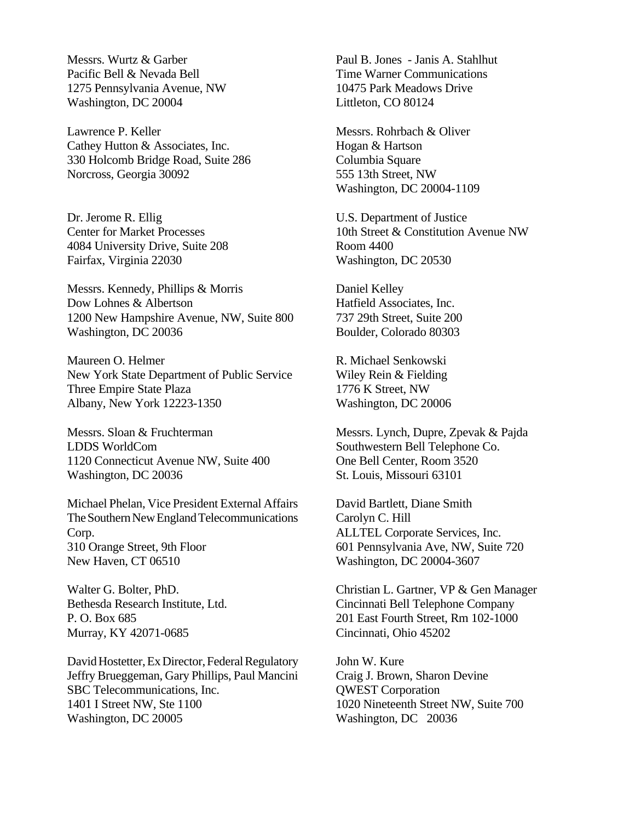Messrs. Wurtz & Garber Pacific Bell & Nevada Bell 1275 Pennsylvania Avenue, NW Washington, DC 20004

Lawrence P. Keller Cathey Hutton & Associates, Inc. 330 Holcomb Bridge Road, Suite 286 Norcross, Georgia 30092

Dr. Jerome R. Ellig Center for Market Processes 4084 University Drive, Suite 208 Fairfax, Virginia 22030

Messrs. Kennedy, Phillips & Morris Dow Lohnes & Albertson 1200 New Hampshire Avenue, NW, Suite 800 Washington, DC 20036

Maureen O. Helmer New York State Department of Public Service Three Empire State Plaza Albany, New York 12223-1350

Messrs. Sloan & Fruchterman LDDS WorldCom 1120 Connecticut Avenue NW, Suite 400 Washington, DC 20036

Michael Phelan, Vice President External Affairs The Southern New England Telecommunications Corp. 310 Orange Street, 9th Floor New Haven, CT 06510

Walter G. Bolter, PhD. Bethesda Research Institute, Ltd. P. O. Box 685 Murray, KY 42071-0685

David Hostetter, Ex Director, Federal Regulatory Jeffry Brueggeman, Gary Phillips, Paul Mancini SBC Telecommunications, Inc. 1401 I Street NW, Ste 1100 Washington, DC 20005

Paul B. Jones - Janis A. Stahlhut Time Warner Communications 10475 Park Meadows Drive Littleton, CO 80124

Messrs. Rohrbach & Oliver Hogan & Hartson Columbia Square 555 13th Street, NW Washington, DC 20004-1109

U.S. Department of Justice 10th Street & Constitution Avenue NW Room 4400 Washington, DC 20530

Daniel Kelley Hatfield Associates, Inc. 737 29th Street, Suite 200 Boulder, Colorado 80303

R. Michael Senkowski Wiley Rein & Fielding 1776 K Street, NW Washington, DC 20006

Messrs. Lynch, Dupre, Zpevak & Pajda Southwestern Bell Telephone Co. One Bell Center, Room 3520 St. Louis, Missouri 63101

David Bartlett, Diane Smith Carolyn C. Hill ALLTEL Corporate Services, Inc. 601 Pennsylvania Ave, NW, Suite 720 Washington, DC 20004-3607

Christian L. Gartner, VP & Gen Manager Cincinnati Bell Telephone Company 201 East Fourth Street, Rm 102-1000 Cincinnati, Ohio 45202

John W. Kure Craig J. Brown, Sharon Devine QWEST Corporation 1020 Nineteenth Street NW, Suite 700 Washington, DC 20036